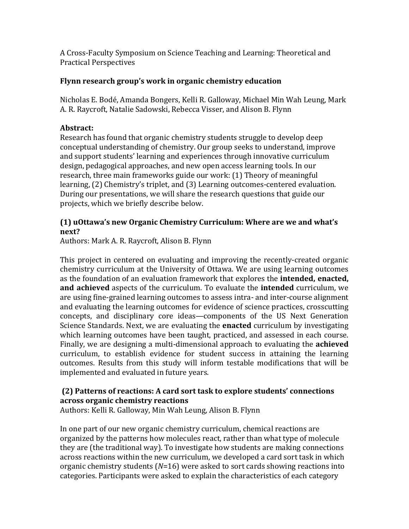A Cross-Faculty Symposium on Science Teaching and Learning: Theoretical and Practical Perspectives

### Flynn research group's work in organic chemistry education

Nicholas E. Bodé, Amanda Bongers, Kelli R. Galloway, Michael Min Wah Leung, Mark A. R. Raycroft, Natalie Sadowski, Rebecca Visser, and Alison B. Flynn

# **Abstract:**

Research has found that organic chemistry students struggle to develop deep conceptual understanding of chemistry. Our group seeks to understand, improve and support students' learning and experiences through innovative curriculum design, pedagogical approaches, and new open access learning tools. In our research, three main frameworks guide our work: (1) Theory of meaningful learning, (2) Chemistry's triplet, and (3) Learning outcomes-centered evaluation. During our presentations, we will share the research questions that guide our projects, which we briefly describe below.

## **(1)** uOttawa's new Organic Chemistry Curriculum: Where are we and what's **next?**

Authors: Mark A. R. Raycroft, Alison B. Flynn

This project in centered on evaluating and improving the recently-created organic chemistry curriculum at the University of Ottawa. We are using learning outcomes as the foundation of an evaluation framework that explores the **intended, enacted, and achieved** aspects of the curriculum. To evaluate the **intended** curriculum, we are using fine-grained learning outcomes to assess intra- and inter-course alignment and evaluating the learning outcomes for evidence of science practices, crosscutting concepts, and disciplinary core ideas—components of the US Next Generation Science Standards. Next, we are evaluating the **enacted** curriculum by investigating which learning outcomes have been taught, practiced, and assessed in each course. Finally, we are designing a multi-dimensional approach to evaluating the **achieved** curriculum, to establish evidence for student success in attaining the learning outcomes. Results from this study will inform testable modifications that will be implemented and evaluated in future years.

# **(2)** Patterns of reactions: A card sort task to explore students' connections **across organic chemistry reactions**

Authors: Kelli R. Galloway, Min Wah Leung, Alison B. Flynn

In one part of our new organic chemistry curriculum, chemical reactions are organized by the patterns how molecules react, rather than what type of molecule they are (the traditional way). To investigate how students are making connections across reactions within the new curriculum, we developed a card sort task in which organic chemistry students  $(N=16)$  were asked to sort cards showing reactions into categories. Participants were asked to explain the characteristics of each category